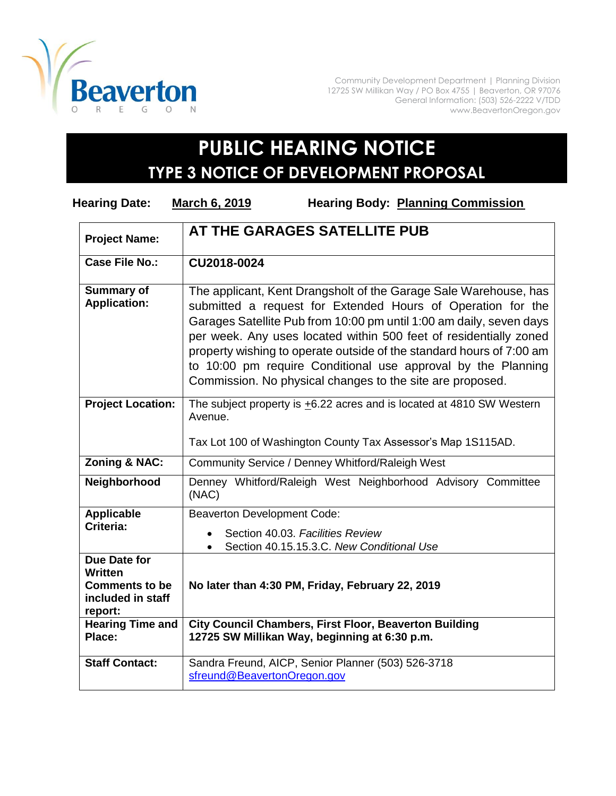

Community Development Department | Planning Division 12725 SW Millikan Way / PO Box 4755 | Beaverton, OR 97076 General Information: (503) 526-2222 V/TDD www.BeavertonOregon.gov

## **PUBLIC HEARING NOTICE TYPE 3 NOTICE OF DEVELOPMENT PROPOSAL**

| <b>Hearing Date:</b>                                                             | <b>March 6, 2019</b><br><b>Hearing Body: Planning Commission</b>                                                                                                                                                                                                                                                                                                                                                                                                                 |
|----------------------------------------------------------------------------------|----------------------------------------------------------------------------------------------------------------------------------------------------------------------------------------------------------------------------------------------------------------------------------------------------------------------------------------------------------------------------------------------------------------------------------------------------------------------------------|
| <b>Project Name:</b>                                                             | AT THE GARAGES SATELLITE PUB                                                                                                                                                                                                                                                                                                                                                                                                                                                     |
| Case File No.:                                                                   | CU2018-0024                                                                                                                                                                                                                                                                                                                                                                                                                                                                      |
| <b>Summary of</b><br><b>Application:</b>                                         | The applicant, Kent Drangsholt of the Garage Sale Warehouse, has<br>submitted a request for Extended Hours of Operation for the<br>Garages Satellite Pub from 10:00 pm until 1:00 am daily, seven days<br>per week. Any uses located within 500 feet of residentially zoned<br>property wishing to operate outside of the standard hours of 7:00 am<br>to 10:00 pm require Conditional use approval by the Planning<br>Commission. No physical changes to the site are proposed. |
| <b>Project Location:</b>                                                         | The subject property is $\pm$ 6.22 acres and is located at 4810 SW Western<br>Avenue.                                                                                                                                                                                                                                                                                                                                                                                            |
|                                                                                  | Tax Lot 100 of Washington County Tax Assessor's Map 1S115AD.                                                                                                                                                                                                                                                                                                                                                                                                                     |
| Zoning & NAC:                                                                    | Community Service / Denney Whitford/Raleigh West                                                                                                                                                                                                                                                                                                                                                                                                                                 |
| Neighborhood                                                                     | Denney Whitford/Raleigh West Neighborhood Advisory Committee<br>(NAC)                                                                                                                                                                                                                                                                                                                                                                                                            |
| <b>Applicable</b>                                                                | <b>Beaverton Development Code:</b>                                                                                                                                                                                                                                                                                                                                                                                                                                               |
| Criteria:                                                                        | Section 40.03. Facilities Review                                                                                                                                                                                                                                                                                                                                                                                                                                                 |
|                                                                                  | Section 40.15.15.3.C. New Conditional Use                                                                                                                                                                                                                                                                                                                                                                                                                                        |
| Due Date for<br>Written<br><b>Comments to be</b><br>included in staff<br>report: | No later than 4:30 PM, Friday, February 22, 2019                                                                                                                                                                                                                                                                                                                                                                                                                                 |
| <b>Hearing Time and</b><br>Place:                                                | <b>City Council Chambers, First Floor, Beaverton Building</b><br>12725 SW Millikan Way, beginning at 6:30 p.m.                                                                                                                                                                                                                                                                                                                                                                   |
| <b>Staff Contact:</b>                                                            | Sandra Freund, AICP, Senior Planner (503) 526-3718<br>sfreund@BeavertonOregon.gov                                                                                                                                                                                                                                                                                                                                                                                                |